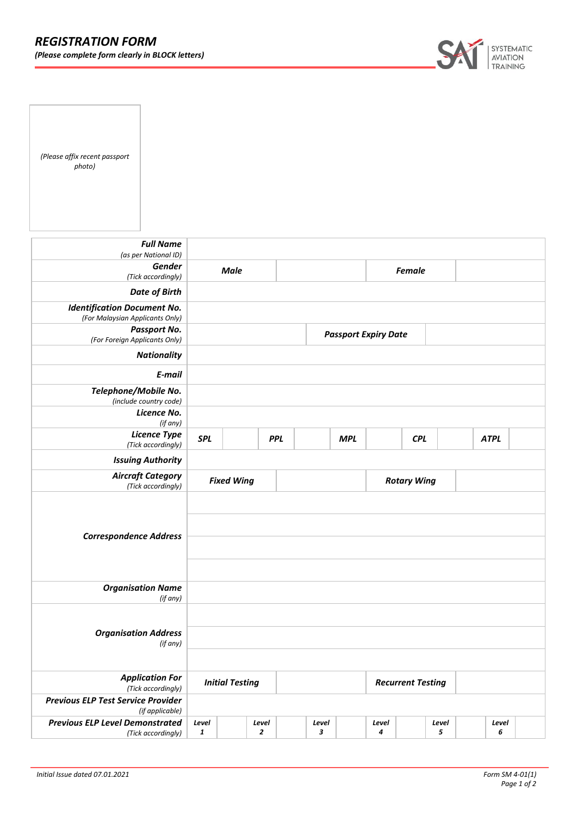

*(Please affix recent passport photo)*

| <b>Full Name</b><br>(as per National ID)                              |                        |  |                         |            |               |                    |                             |            |            |             |  |
|-----------------------------------------------------------------------|------------------------|--|-------------------------|------------|---------------|--------------------|-----------------------------|------------|------------|-------------|--|
| <b>Gender</b><br>(Tick accordingly)                                   | <b>Male</b>            |  |                         |            | <b>Female</b> |                    |                             |            |            |             |  |
| <b>Date of Birth</b>                                                  |                        |  |                         |            |               |                    |                             |            |            |             |  |
| <b>Identification Document No.</b><br>(For Malaysian Applicants Only) |                        |  |                         |            |               |                    |                             |            |            |             |  |
| Passport No.<br>(For Foreign Applicants Only)                         |                        |  |                         |            |               |                    | <b>Passport Expiry Date</b> |            |            |             |  |
| <b>Nationality</b>                                                    |                        |  |                         |            |               |                    |                             |            |            |             |  |
| E-mail                                                                |                        |  |                         |            |               |                    |                             |            |            |             |  |
| Telephone/Mobile No.<br>(include country code)                        |                        |  |                         |            |               |                    |                             |            |            |             |  |
| Licence No.<br>(if any)                                               |                        |  |                         |            |               |                    |                             |            |            |             |  |
| <b>Licence Type</b><br>(Tick accordingly)                             | <b>SPL</b>             |  |                         | <b>PPL</b> |               | <b>MPL</b>         |                             | <b>CPL</b> |            | <b>ATPL</b> |  |
| <b>Issuing Authority</b>                                              |                        |  |                         |            |               |                    |                             |            |            |             |  |
| <b>Aircraft Category</b><br>(Tick accordingly)                        | <b>Fixed Wing</b>      |  |                         |            |               | <b>Rotary Wing</b> |                             |            |            |             |  |
| <b>Correspondence Address</b>                                         |                        |  |                         |            |               |                    |                             |            |            |             |  |
| <b>Organisation Name</b><br>(if any)                                  |                        |  |                         |            |               |                    |                             |            |            |             |  |
| <b>Organisation Address</b><br>(if any)                               |                        |  |                         |            |               |                    |                             |            |            |             |  |
| <b>Application For</b><br>(Tick accordingly)                          | <b>Initial Testing</b> |  |                         |            |               |                    | <b>Recurrent Testing</b>    |            |            |             |  |
| <b>Previous ELP Test Service Provider</b><br>(if applicable)          |                        |  |                         |            |               |                    |                             |            |            |             |  |
| <b>Previous ELP Level Demonstrated</b><br>(Tick accordingly)          | Level<br>$\mathbf{1}$  |  | Level<br>$\overline{2}$ |            | Level<br>3    |                    | Level<br>4                  |            | Level<br>5 | Level<br>6  |  |